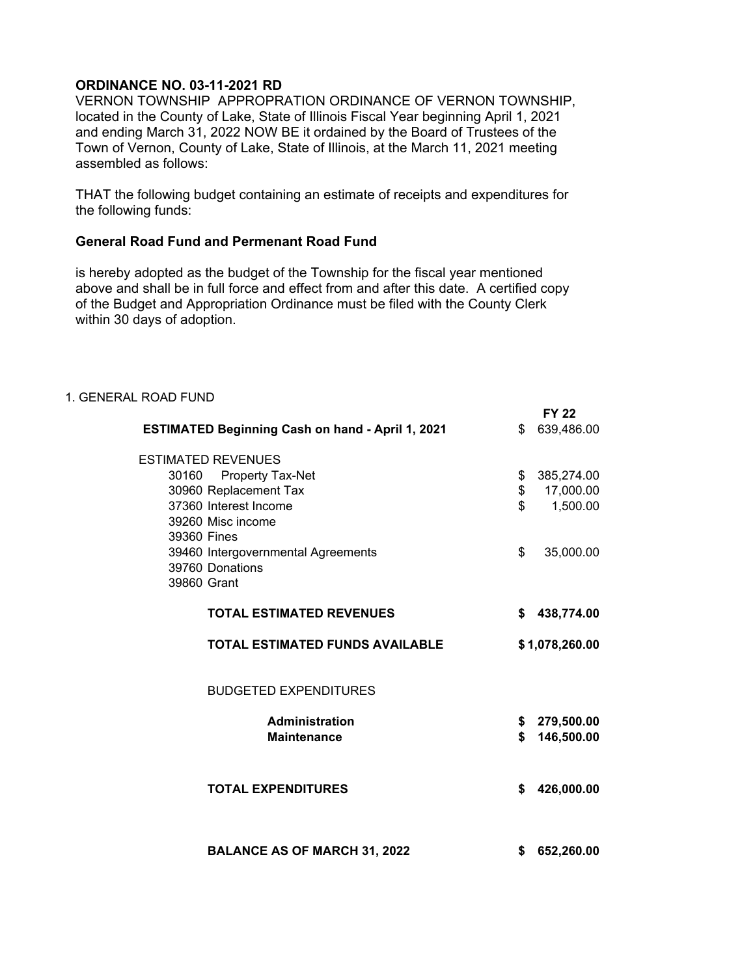## **ORDINANCE NO. 03-11-2021 RD**

VERNON TOWNSHIP APPROPRATION ORDINANCE OF VERNON TOWNSHIP, located in the County of Lake, State of Illinois Fiscal Year beginning April 1, 2021 and ending March 31, 2022 NOW BE it ordained by the Board of Trustees of the Town of Vernon, County of Lake, State of Illinois, at the March 11, 2021 meeting assembled as follows:

THAT the following budget containing an estimate of receipts and expenditures for the following funds:

## **General Road Fund and Permenant Road Fund**

is hereby adopted as the budget of the Township for the fiscal year mentioned above and shall be in full force and effect from and after this date. A certified copy of the Budget and Appropriation Ordinance must be filed with the County Clerk within 30 days of adoption.

| 1. GENERAL ROAD FUND                                    |                  |
|---------------------------------------------------------|------------------|
|                                                         | <b>FY 22</b>     |
| <b>ESTIMATED Beginning Cash on hand - April 1, 2021</b> | \$639,486.00     |
| <b>ESTIMATED REVENUES</b>                               |                  |
| 30160 Property Tax-Net                                  | 385,274.00<br>\$ |
| 30960 Replacement Tax                                   | \$<br>17,000.00  |
| 37360 Interest Income                                   | \$<br>1,500.00   |
| 39260 Misc income                                       |                  |
| 39360 Fines                                             |                  |
| 39460 Intergovernmental Agreements                      | 35,000.00<br>\$  |
| 39760 Donations                                         |                  |
| 39860 Grant                                             |                  |
| <b>TOTAL ESTIMATED REVENUES</b>                         | \$438,774.00     |
| <b>TOTAL ESTIMATED FUNDS AVAILABLE</b>                  | \$1,078,260.00   |
| <b>BUDGETED EXPENDITURES</b>                            |                  |
| <b>Administration</b>                                   | \$279,500.00     |
| <b>Maintenance</b>                                      | 146,500.00<br>\$ |
|                                                         |                  |
|                                                         |                  |
| <b>TOTAL EXPENDITURES</b>                               | 426,000.00<br>\$ |
|                                                         |                  |
|                                                         |                  |
| <b>BALANCE AS OF MARCH 31, 2022</b>                     | 652,260.00<br>\$ |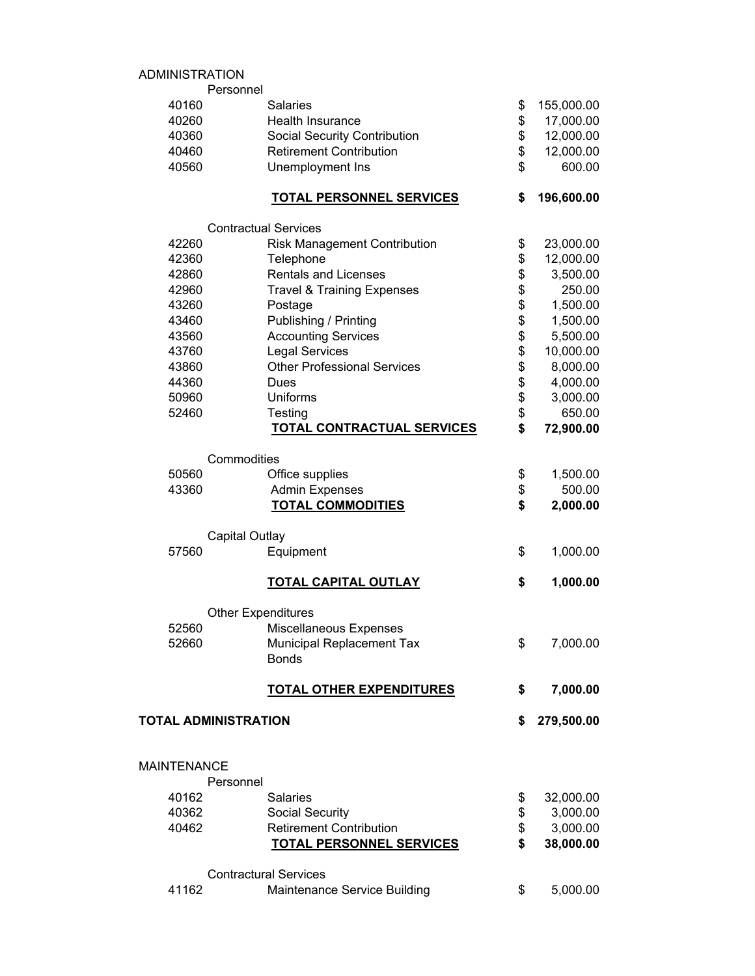## ADMINISTRATION

|                    | Personnel                             |                  |
|--------------------|---------------------------------------|------------------|
| 40160              | <b>Salaries</b>                       | \$<br>155,000.00 |
| 40260              | Health Insurance                      | \$<br>17,000.00  |
| 40360              | <b>Social Security Contribution</b>   | \$<br>12,000.00  |
| 40460              | <b>Retirement Contribution</b>        | \$<br>12,000.00  |
| 40560              | Unemployment Ins                      | \$<br>600.00     |
|                    | <b>TOTAL PERSONNEL SERVICES</b>       | \$<br>196,600.00 |
|                    | <b>Contractual Services</b>           |                  |
| 42260              | <b>Risk Management Contribution</b>   | \$<br>23,000.00  |
| 42360              | Telephone                             | \$<br>12,000.00  |
| 42860              | <b>Rentals and Licenses</b>           | \$<br>3,500.00   |
| 42960              | <b>Travel &amp; Training Expenses</b> | \$<br>250.00     |
| 43260              | Postage                               | \$<br>1,500.00   |
| 43460              | Publishing / Printing                 | \$<br>1,500.00   |
| 43560              | <b>Accounting Services</b>            | \$<br>5,500.00   |
| 43760              | <b>Legal Services</b>                 | \$<br>10,000.00  |
| 43860              | <b>Other Professional Services</b>    | \$<br>8,000.00   |
| 44360              | Dues                                  | \$<br>4,000.00   |
| 50960              | <b>Uniforms</b>                       | \$<br>3,000.00   |
| 52460              | Testing                               | \$<br>650.00     |
|                    | <b>TOTAL CONTRACTUAL SERVICES</b>     | \$<br>72,900.00  |
|                    | Commodities                           |                  |
| 50560              | Office supplies                       | \$<br>1,500.00   |
| 43360              | <b>Admin Expenses</b>                 | \$<br>500.00     |
|                    | <b>TOTAL COMMODITIES</b>              | \$<br>2,000.00   |
|                    | <b>Capital Outlay</b>                 |                  |
| 57560              | Equipment                             | \$<br>1,000.00   |
|                    | <b>TOTAL CAPITAL OUTLAY</b>           | \$<br>1,000.00   |
|                    | <b>Other Expenditures</b>             |                  |
| 52560              | Miscellaneous Expenses                |                  |
| 52660              | <b>Municipal Replacement Tax</b>      | \$<br>7,000.00   |
|                    | <b>Bonds</b>                          |                  |
|                    | <b>TOTAL OTHER EXPENDITURES</b>       | \$<br>7,000.00   |
|                    | <b>TOTAL ADMINISTRATION</b>           | \$<br>279,500.00 |
|                    |                                       |                  |
| <b>MAINTENANCE</b> |                                       |                  |
|                    | Personnel                             |                  |
| 40162              | <b>Salaries</b>                       | \$<br>32,000.00  |
| 40362              | Social Security                       | \$<br>3,000.00   |
| 40462              | <b>Retirement Contribution</b>        | \$<br>3,000.00   |
|                    | <b>TOTAL PERSONNEL SERVICES</b>       | \$<br>38,000.00  |
|                    | <b>Contractural Services</b>          |                  |
| 41162              | Maintenance Service Building          | \$<br>5,000.00   |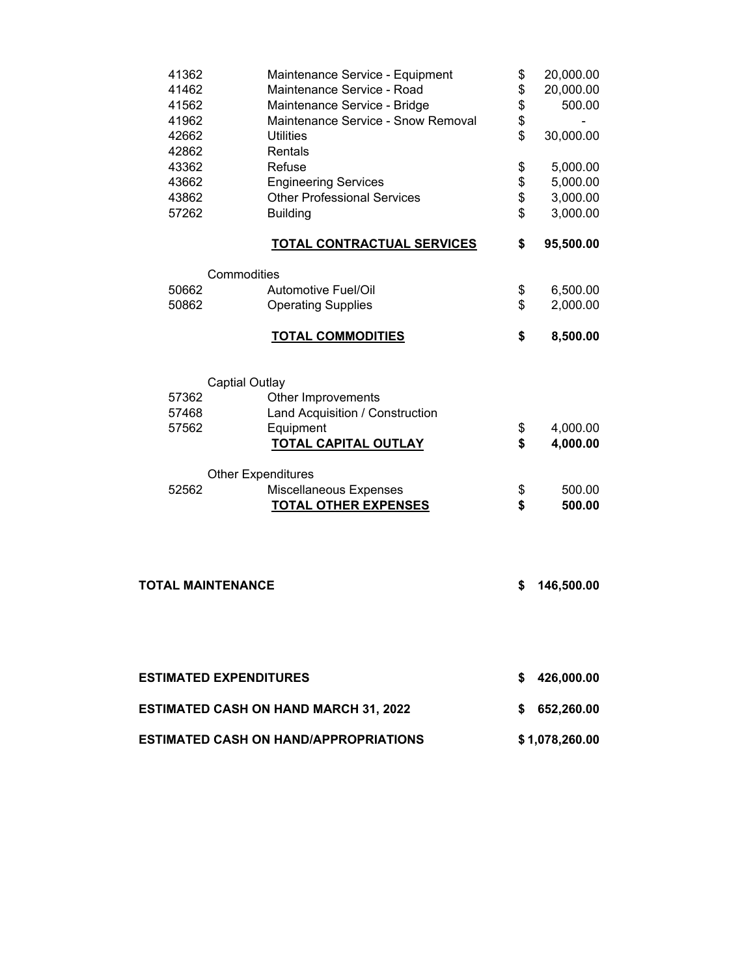| 41362<br>41462<br>41562<br>41962 | Maintenance Service - Equipment<br>Maintenance Service - Road<br>Maintenance Service - Bridge<br>Maintenance Service - Snow Removal | \$<br>\$<br>\$<br>\$ | 20,000.00<br>20,000.00<br>500.00 |
|----------------------------------|-------------------------------------------------------------------------------------------------------------------------------------|----------------------|----------------------------------|
| 42662<br>42862                   | <b>Utilities</b><br>Rentals                                                                                                         | \$                   | 30,000.00                        |
| 43362                            | Refuse                                                                                                                              | \$                   | 5,000.00                         |
| 43662                            | <b>Engineering Services</b>                                                                                                         | \$                   | 5,000.00                         |
| 43862                            | <b>Other Professional Services</b>                                                                                                  | \$                   | 3,000.00                         |
| 57262                            | <b>Building</b>                                                                                                                     | \$                   | 3,000.00                         |
|                                  | <b>TOTAL CONTRACTUAL SERVICES</b>                                                                                                   | \$                   | 95,500.00                        |
|                                  | Commodities                                                                                                                         |                      |                                  |
| 50662                            | <b>Automotive Fuel/Oil</b>                                                                                                          | \$                   | 6,500.00                         |
| 50862                            | <b>Operating Supplies</b>                                                                                                           | \$                   | 2,000.00                         |
|                                  | <b>TOTAL COMMODITIES</b>                                                                                                            | \$                   | 8,500.00                         |
|                                  | <b>Captial Outlay</b>                                                                                                               |                      |                                  |
| 57362                            | Other Improvements                                                                                                                  |                      |                                  |
| 57468                            | Land Acquisition / Construction                                                                                                     |                      |                                  |
| 57562                            | Equipment                                                                                                                           | \$                   | 4,000.00                         |
|                                  | <b>TOTAL CAPITAL OUTLAY</b>                                                                                                         | \$                   | 4,000.00                         |
|                                  | <b>Other Expenditures</b>                                                                                                           |                      |                                  |
| 52562                            | Miscellaneous Expenses                                                                                                              | \$                   | 500.00                           |
|                                  | <b>TOTAL OTHER EXPENSES</b>                                                                                                         | \$                   | 500.00                           |
|                                  | <b>TOTAL MAINTENANCE</b>                                                                                                            | \$                   | 146,500.00                       |
|                                  | <b>ESTIMATED EXPENDITURES</b>                                                                                                       |                      | \$426,000.00                     |
|                                  |                                                                                                                                     |                      |                                  |
|                                  | <b>ESTIMATED CASH ON HAND MARCH 31, 2022</b>                                                                                        |                      | \$652,260.00                     |
|                                  | ESTIMATED CASH ON HAND/APPROPRIATIONS                                                                                               |                      | \$1,078,260.00                   |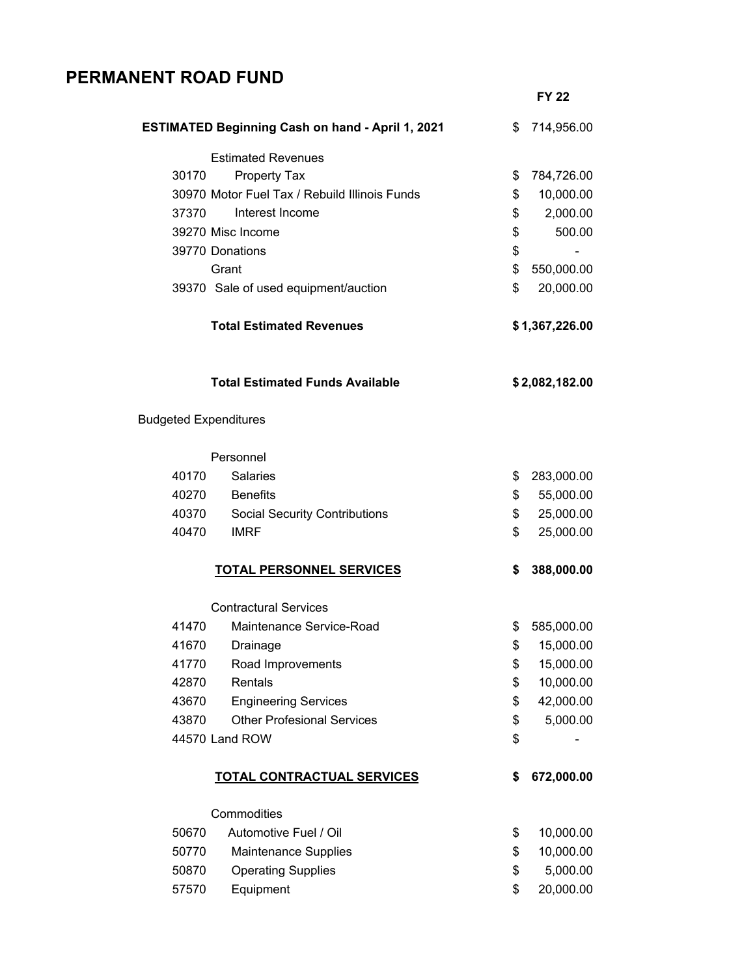## **PERMANENT ROAD FUND**

|                              |                                                         | <b>FY 22</b>     |
|------------------------------|---------------------------------------------------------|------------------|
|                              | <b>ESTIMATED Beginning Cash on hand - April 1, 2021</b> | \$<br>714,956.00 |
|                              | <b>Estimated Revenues</b>                               |                  |
| 30170                        | <b>Property Tax</b>                                     | \$<br>784,726.00 |
|                              | 30970 Motor Fuel Tax / Rebuild Illinois Funds           | \$<br>10,000.00  |
| 37370                        | Interest Income                                         | \$<br>2,000.00   |
|                              | 39270 Misc Income                                       | \$<br>500.00     |
|                              | 39770 Donations                                         | \$               |
|                              | Grant                                                   | \$<br>550,000.00 |
|                              | 39370 Sale of used equipment/auction                    | \$<br>20,000.00  |
|                              | <b>Total Estimated Revenues</b>                         | \$1,367,226.00   |
|                              | <b>Total Estimated Funds Available</b>                  | \$2,082,182.00   |
| <b>Budgeted Expenditures</b> |                                                         |                  |
|                              | Personnel                                               |                  |
| 40170                        | <b>Salaries</b>                                         | \$<br>283,000.00 |
| 40270                        | <b>Benefits</b>                                         | \$<br>55,000.00  |
| 40370                        | <b>Social Security Contributions</b>                    | \$<br>25,000.00  |
| 40470                        | <b>IMRF</b>                                             | \$<br>25,000.00  |
|                              | <b>TOTAL PERSONNEL SERVICES</b>                         | \$<br>388,000.00 |
|                              | <b>Contractural Services</b>                            |                  |
| 41470                        | Maintenance Service-Road                                | \$<br>585,000.00 |
| 41670                        | Drainage                                                | \$<br>15,000.00  |
| 41770                        | Road Improvements                                       | \$<br>15,000.00  |
| 42870                        | Rentals                                                 | \$<br>10,000.00  |
| 43670                        | <b>Engineering Services</b>                             | \$<br>42,000.00  |
| 43870                        | <b>Other Profesional Services</b>                       | \$<br>5,000.00   |
|                              | 44570 Land ROW                                          | \$               |
|                              | <b>TOTAL CONTRACTUAL SERVICES</b>                       | \$<br>672,000.00 |
|                              | Commodities                                             |                  |
| 50670                        | Automotive Fuel / Oil                                   | \$<br>10,000.00  |
| 50770                        | <b>Maintenance Supplies</b>                             | \$<br>10,000.00  |
| 50870                        | <b>Operating Supplies</b>                               | \$<br>5,000.00   |
| 57570                        | Equipment                                               | \$<br>20,000.00  |